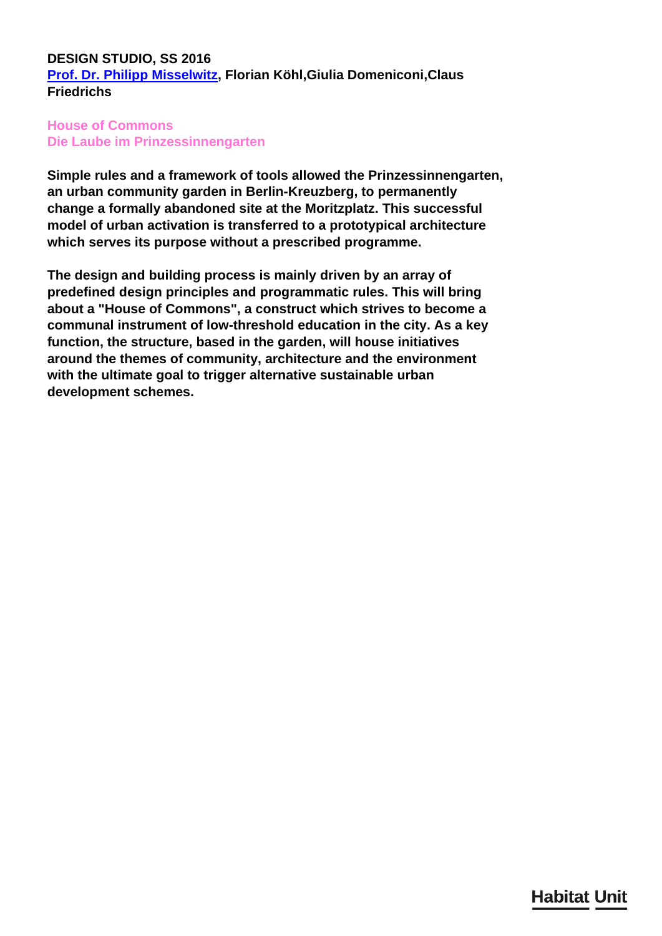## **DESIGN STUDIO, SS 2016 [Prof. Dr. Philipp Misselwitz,](/en/team/philipp-misselwitz/) Florian Köhl,Giulia Domeniconi,Claus Friedrichs**

## **House of Commons Die Laube im Prinzessinnengarten**

**Simple rules and a framework of tools allowed the Prinzessinnengarten, an urban community garden in Berlin-Kreuzberg, to permanently change a formally abandoned site at the Moritzplatz. This successful model of urban activation is transferred to a prototypical architecture which serves its purpose without a prescribed programme.**

**The design and building process is mainly driven by an array of predefined design principles and programmatic rules. This will bring about a "House of Commons", a construct which strives to become a communal instrument of low-threshold education in the city. As a key function, the structure, based in the garden, will house initiatives around the themes of community, architecture and the environment with the ultimate goal to trigger alternative sustainable urban development schemes.**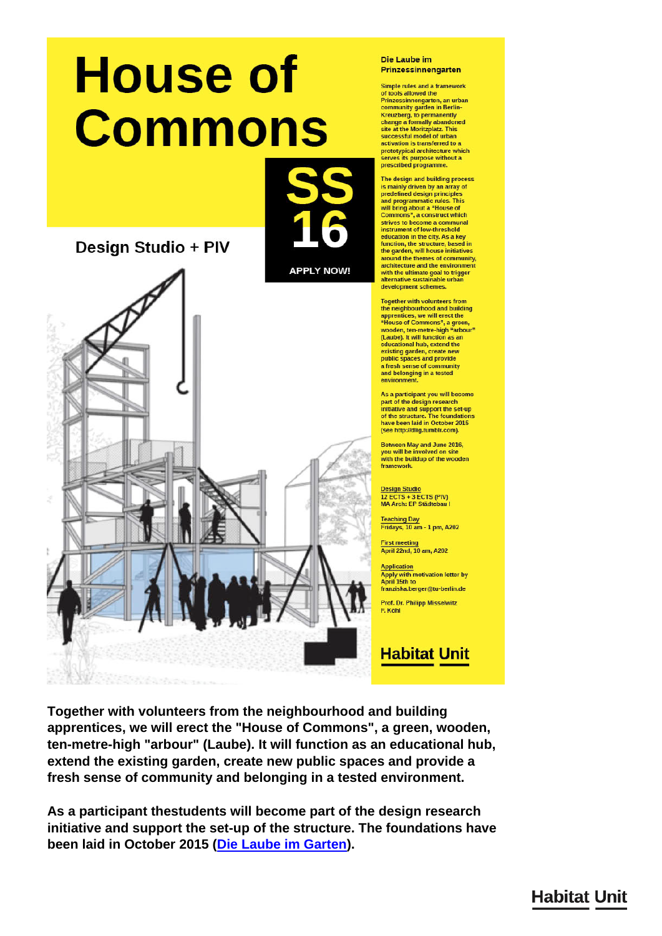# **House of Commons**

Design Studio + PIV



#### Die Laube im Prinzessinnengarten

Simple rules and a framework of tools allowed the<br>Prinzessinnengarten, an urban community garden in Berlin-Examining yarder in Berlin-<br>Kreuzberg, to permanently<br>change a formally abandoned<br>site at the Moritzplatz. This successful model of urban activation is transferred to a prototypical architecture which serves its purpose without a<br>prescribed programme.

The design and building process is mainly driven by an array of<br>predefined design principles and programmatic rules. This will bring about a "House of<br>Commons", a construct which strives to become a communal instrument of low-threshold education in the city. As a key<br>function, the structure, based in the garden, will house initiatives around the themes of community,<br>architecture and the environment with the ultimate goal to trigger alternative sustainable urbar development schemes

**Together with volunteers from** the neighbourhood and building<br>apprentices, we will erect the<br>"House of Commons", a green, wooden, ten-metre-high "arbour"<br>(Laube). It will function as an<br>educational hub, extend the existing garden, create new<br>public spaces and provide<br>a fresh sense of community and belonging in a tested environment

As a participant you will become part of the design research<br>initiative and support the set-up<br>of the structure. The foundations have been laid in October 2015 (see http://dlig.tumblr.com).

Between May and June 2016. you will be involved on site<br>with the buildup of the wooden framework.

**Design Studio** 12 ECTS + 3 ECTS (PIV)<br>MA Arch: EP Städtebau I

**Teaching Day** Fridays, 10 am - 1 pm, A202

First meeting<br>April 22nd, 10 am, A202

**Application** Apply with motivation letter by<br>April 15th to franziska.berger@tu-berlin.de

Prof. Dr. Philipp Misselwitz **F Köhl** 

**Habitat Unit** 

Together with volunteers from the neighbourhood and building apprentices, we will erect the "House of Commons", a green, wooden, ten-metre-high "arbour" (Laube). It will function as an educational hub, extend the existing garden, create new public spaces and provide a fresh sense of community and belonging in a tested environment.

As a participant thestudents will become part of the design research initiative and support the set-up of the structure. The foundations have been laid in October 2015 (Die Laube im Garten).

# **Habitat Unit**